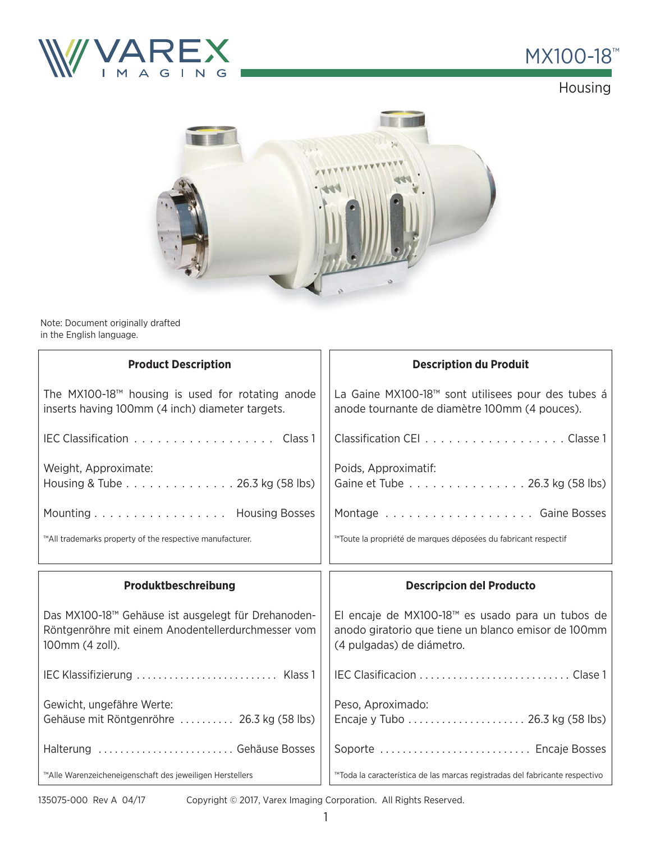

## MX100-18<sup>™</sup>

Housing



Note: Document originally drafted in the English language.

| <b>Product Description</b>                                                                                                   | <b>Description du Produit</b>                                                                                                        |
|------------------------------------------------------------------------------------------------------------------------------|--------------------------------------------------------------------------------------------------------------------------------------|
| The $MX100-18TM$ housing is used for rotating anode<br>inserts having 100mm (4 inch) diameter targets.                       | La Gaine MX100-18™ sont utilisees pour des tubes á<br>anode tournante de diamètre 100mm (4 pouces).                                  |
| IEC Classification Class 1                                                                                                   | Classification CEI Classe 1                                                                                                          |
| Weight, Approximate:<br>Housing & Tube 26.3 kg (58 lbs)                                                                      | Poids, Approximatif:<br>Gaine et Tube 26.3 kg (58 lbs)                                                                               |
| Mounting Housing Bosses                                                                                                      |                                                                                                                                      |
| ™All trademarks property of the respective manufacturer.                                                                     | ™Toute la propriété de marques déposées du fabricant respectif                                                                       |
|                                                                                                                              |                                                                                                                                      |
| Produktbeschreibung                                                                                                          | <b>Descripcion del Producto</b>                                                                                                      |
| Das MX100-18™ Gehäuse ist ausgelegt für Drehanoden-<br>Röntgenröhre mit einem Anodentellerdurchmesser vom<br>100mm (4 zoll). | El encaje de MX100-18™ es usado para un tubos de<br>anodo giratorio que tiene un blanco emisor de 100mm<br>(4 pulgadas) de diámetro. |
| IEC Klassifizierung  Klass 1                                                                                                 |                                                                                                                                      |
| Gewicht, ungefähre Werte:<br>Gehäuse mit Röntgenröhre  26.3 kg (58 lbs)                                                      | Peso, Aproximado:<br>Encaje y Tubo  26.3 kg (58 lbs)                                                                                 |
| Halterung  Gehäuse Bosses                                                                                                    | Soporte  Encaje Bosses                                                                                                               |

135075-000 Rev A 04/17

Copyright © 2017, Varex Imaging Corporation. All Rights Reserved.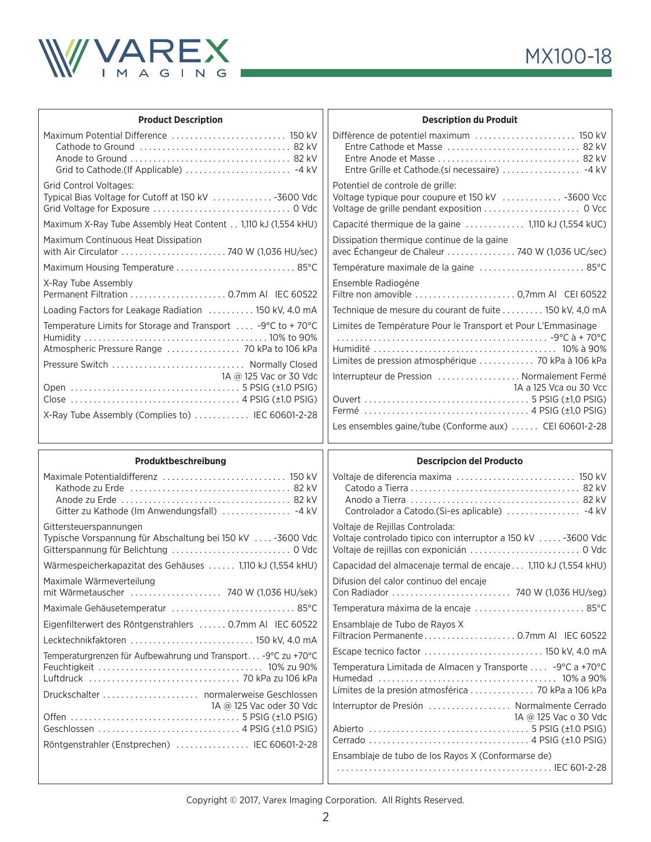

| <b>Product Description</b>                                                                      | <b>Description du Produit</b>                                                                                                    |
|-------------------------------------------------------------------------------------------------|----------------------------------------------------------------------------------------------------------------------------------|
|                                                                                                 | Diffèrence de potentiel maximum  150 kV<br>Entre Grille et Cathode.(sí necessaire)  -4 kV                                        |
| <b>Grid Control Voltages:</b><br>Typical Bias Voltage for Cutoff at 150 kV  - 3600 Vdc          | Potentiel de controle de grille:<br>Voltage typique pour coupure et 150 kV  -3600 Vcc                                            |
| Maximum X-Ray Tube Assembly Heat Content 1,110 kJ (1,554 kHU)                                   | Capacité thermique de la gaine  1,110 kJ (1,554 kUC)                                                                             |
| Maximum Continuous Heat Dissipation                                                             | Dissipation thermique continue de la gaine<br>avec Échangeur de Chaleur  740 W (1,036 UC/sec)                                    |
| Maximum Housing Temperature  85°C                                                               | Température maximale de la gaine  85°C                                                                                           |
| X-Ray Tube Assembly                                                                             | Ensemble Radiogéne                                                                                                               |
| Loading Factors for Leakage Radiation  150 kV, 4.0 mA                                           | Technique de mesure du courant de fuite 150 kV, 4,0 mA                                                                           |
| Temperature Limits for Storage and Transport  -9°C to +70°C<br>Pressure Switch  Normally Closed | Limites de Température Pour le Transport et Pour L'Emmasinage<br>Limites de pression atmosphérique  70 kPa à 106 kPa             |
| 1A @ 125 Vac or 30 Vdc<br>X-Ray Tube Assembly (Complies to)  IEC 60601-2-28                     | Interrupteur de Pression  Normalement Fermé<br>1A a 125 Vca ou 30 Vcc<br>Les ensembles gaine/tube (Conforme aux)  CEI 60601-2-28 |
|                                                                                                 |                                                                                                                                  |
| Produktbeschreibung                                                                             | <b>Descripcion del Producto</b>                                                                                                  |
| Gitter zu Kathode (Im Anwendungsfall)  -4 kV                                                    | Voltaje de diferencia maxima  150 kV                                                                                             |
| Gittersteuerspannungen<br>Typische Vorspannung für Abschaltung bei 150 kV  -3600 Vdc            | Voltaje de Rejillas Controlada:<br>Voltaje controlado tipico con interruptor a 150 kV  -3600 Vdc                                 |
| Wärmespeicherkapazitat des Gehäuses  1,110 kJ (1,554 kHU)                                       | Capacidad del almacenaje termal de encaje  1,110 kJ (1,554 kHU)                                                                  |
| Maximale Wärmeverteilung<br>mit Wärmetauscher  740 W (1,036 HU/sek)                             | Difusion del calor continuo del encaje                                                                                           |
| Maximale Gehäusetemperatur  85°C                                                                | Temperatura máxima de la encaje  85°C                                                                                            |
| Eigenfilterwert des Röntgenstrahlers  0.7mm Al IEC 60522                                        | Ensamblaje de Tubo de Rayos X                                                                                                    |
| Lecktechnikfaktoren  150 kV, 4.0 mA                                                             |                                                                                                                                  |
| Temperaturgrenzen für Aufbewahrung und Transport -9°C zu +70°C                                  | Escape tecnico factor  150 kV, 4.0 mA                                                                                            |
|                                                                                                 | Temperatura Limitada de Almacen y Transporte  -9°C a +70°C                                                                       |
|                                                                                                 | Límites de la presión atmosférica  70 kPa a 106 kPa                                                                              |
| 1A @ 125 Vac oder 30 Vdc<br>Röntgenstrahler (Enstprechen)  IEC 60601-2-28                       | Interruptor de Presión  Normalmente Cerrado<br>1A @ 125 Vac o 30 Vdc                                                             |

Copyright © 2017, Varex Imaging Corporation. All Rights Reserved.

. . . . . . . . . . . . . . . . . . . . . . . . . . . . . . . . . . . . . . . . . . . . . . . IEC 601-2-28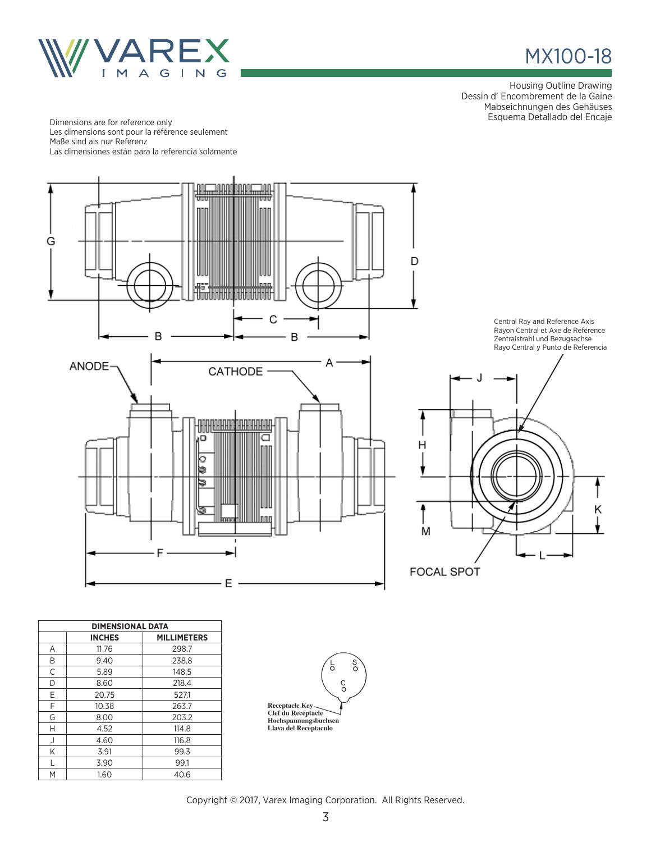

## MX100-18

Housing Outline Drawing Dessin d' Encombrement de la Gaine Mabseichnungen des Gehäuses Esquema Detallado del Encaje Dimensions are for reference only

Les dimensions sont pour la référence seulement Maße sind als nur Referenz Las dimensiones están para la referencia solamente



| <b>DIMENSIONAL DATA</b> |               |                    |  |  |
|-------------------------|---------------|--------------------|--|--|
|                         | <b>INCHES</b> | <b>MILLIMETERS</b> |  |  |
| A                       | 11.76         | 298.7              |  |  |
| B                       | 9.40          | 238.8              |  |  |
| C                       | 5.89          | 148.5              |  |  |
| D                       | 8.60          | 218.4              |  |  |
| Е                       | 20.75         | 527.1              |  |  |
| F                       | 10.38         | 263.7              |  |  |
| G                       | 8.00          | 203.2              |  |  |
| Н                       | 4.52          | 114.8              |  |  |
| J                       | 4.60          | 116.8              |  |  |
| K                       | 3.91          | 99.3               |  |  |
| L                       | 3.90          | 99.1               |  |  |
| М                       | 1.60          | 40.6               |  |  |



Copyright © 2017, Varex Imaging Corporation. All Rights Reserved.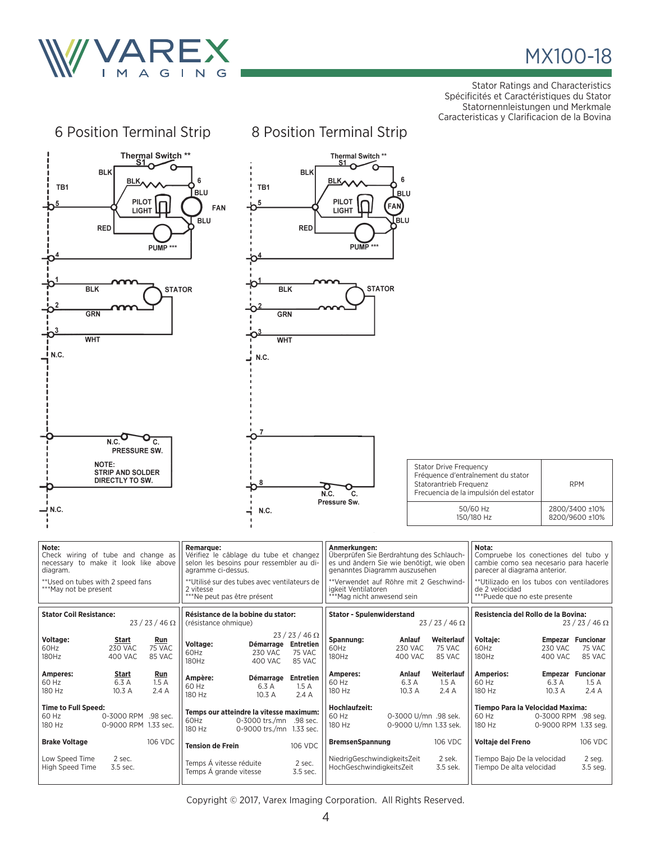

## MX100-18

Stator Ratings and Characteristics Spécificités et Caractéristiques du Stator Statornennleistungen und Merkmale Caracteristicas y Clarificacion de la Bovina

| 6 Position Terminal Strip                                                                                                                                      |                                                                                                                                                                                                                          | 8 Position Terminal Strip                                                                                                                                                                                                            |                                                                                                                                                                                                                          |  |
|----------------------------------------------------------------------------------------------------------------------------------------------------------------|--------------------------------------------------------------------------------------------------------------------------------------------------------------------------------------------------------------------------|--------------------------------------------------------------------------------------------------------------------------------------------------------------------------------------------------------------------------------------|--------------------------------------------------------------------------------------------------------------------------------------------------------------------------------------------------------------------------|--|
| Thermal Switch **<br>S1<br><b>BLK</b><br>BLK,<br>TB1<br><b>PILOT</b><br><b>LIGHT</b><br><b>RED</b><br>PUMP ***                                                 | <b>BLK</b><br>6<br>TB1<br><b>BLU</b><br>5<br>FAN<br><b>BLU</b><br><b>RED</b>                                                                                                                                             | Thermal Switch **<br>S1<br>6<br><b>BLK</b><br>BLU<br>PILOT<br>FAN)<br><b>LIGHT</b><br>lblu<br>PUMP <sup>***</sup>                                                                                                                    |                                                                                                                                                                                                                          |  |
| <b>STATOR</b><br><b>BLK</b><br><b>BLK</b><br><b>STATOR</b><br><b>GRN</b><br>GRN<br>O <sup>3</sup><br><b>WHT</b><br><b>WHT</b><br><u>I</u> N.C.<br>N.C.         |                                                                                                                                                                                                                          |                                                                                                                                                                                                                                      |                                                                                                                                                                                                                          |  |
| N.C.<br>C.<br>PRESSURE SW.<br>NOTE:<br><b>STRIP AND SOLDER</b><br>DIRECTLY TO SW.<br>.N.C —                                                                    | 7<br>8<br>N.C.                                                                                                                                                                                                           | <b>Stator Drive Frequency</b><br>Statorantrieb Frequenz<br>O<br>N.C.<br>c.<br>Pressure Sw.                                                                                                                                           | Fréquence d'entraînement du stator<br><b>RPM</b><br>Frecuencia de la impulsión del estator<br>50/60 Hz<br>2800/3400 ±10%<br>150/180 Hz<br>8200/9600 ±10%                                                                 |  |
| Note:<br>Check wiring of tube and change as<br>necessary to make it look like above<br>diagram.<br>** Used on tubes with 2 speed fans<br>***May not be present | <b>Remarque:</b><br>Vérifiez le câblage du tube et changez<br>selon les besoins pour ressembler au di-<br>agramme ci-dessus.<br>**Utilisé sur des tubes avec ventilateurs de<br>2 vitesse<br>***Ne peut pas être présent | Anmerkungen:<br>Überprüfen Sie Berdrahtung des Schlauch-<br>es und ändern Sie wie benötigt, wie oben<br>genanntes Diagramm auszusehen<br>**Verwendet auf Röhre mit 2 Geschwind-<br>igkeit Ventilatoren<br>***Mag nicht anwesend sein | Nota:<br>Compruebe los conectiones del tubo y<br>cambie como sea necesario para hacerle<br>parecer al diagrama anterior.<br>**Utilizado en los tubos con ventiladores<br>de 2 velocidad<br>***Puede que no este presente |  |
| <b>Stator Coil Resistance:</b><br>$23/23/46 \Omega$                                                                                                            | Résistance de la bobine du stator:<br>(résistance ohmique)                                                                                                                                                               | <b>Stator - Spulenwiderstand</b><br>$23/23/46 \Omega$                                                                                                                                                                                | Resistencia del Rollo de la Bovina:<br>$23/23/46 \Omega$                                                                                                                                                                 |  |
| Voltage:<br>Start<br>Run<br>60Hz<br><b>230 VAC</b><br>75 VAC<br>180Hz<br>400 VAC<br>85 VAC                                                                     | $23/23/46 \Omega$<br>Voltage:<br>Démarrage Entretien<br><b>230 VAC</b><br>60Hz<br>75 VAC<br>180Hz<br><b>400 VAC</b><br>85 VAC                                                                                            | Spannung:<br>Weiterlauf<br>Anlauf<br>60Hz<br><b>230 VAC</b><br>75 VAC<br>180Hz<br>400 VAC<br>85 VAC                                                                                                                                  | Voltaje:<br><b>Empezar Funcionar</b><br>60Hz<br><b>230 VAC</b><br>75 VAC<br>180Hz<br>400 VAC<br>85 VAC                                                                                                                   |  |
| Amperes:<br><u>Start</u><br><b>Run</b><br>6.3 A<br>60 Hz<br>1.5A<br>180 Hz<br>10.3 A<br>2.4A                                                                   | Démarrage Entretien<br>Ampère:<br>60 Hz<br>6.3 A<br>1.5A<br>180 Hz<br>10.3 A<br>2.4 A                                                                                                                                    | Amperes:<br>Anlauf<br>Weiterlauf<br>60 Hz<br>6.3 A<br>1.5A<br>180 Hz<br>10.3 A<br>2.4 A                                                                                                                                              | <b>Amperios:</b><br><b>Empezar Funcionar</b><br>60 Hz<br>6.3 A<br>1.5A<br>180 Hz<br>10.3 A<br>2.4 A                                                                                                                      |  |
| <b>Time to Full Speed:</b><br>60 Hz<br>0-3000 RPM .98 sec.<br>180 Hz<br>0-9000 RPM 1.33 sec.                                                                   | Temps our atteindre la vitesse maximum:<br>60Hz<br>0-3000 trs./mn .98 sec.<br>180 Hz<br>0-9000 trs./mn 1.33 sec.                                                                                                         | Hochlaufzeit:<br>60 Hz<br>0-3000 U/mn .98 sek.<br>180 Hz<br>0-9000 U/mn 1.33 sek.                                                                                                                                                    | Tiempo Para la Velocidad Maxima:<br>60 Hz<br>0-3000 RPM .98 seg.<br>180 Hz<br>0-9000 RPM 1.33 seg.                                                                                                                       |  |
| 106 VDC<br><b>Brake Voltage</b>                                                                                                                                | 106 VDC<br><b>Tension de Frein</b>                                                                                                                                                                                       | <b>BremsenSpannung</b><br>106 VDC                                                                                                                                                                                                    | 106 VDC<br>Voltaje del Freno                                                                                                                                                                                             |  |
| 2 sec.<br>Low Speed Time<br>High Speed Time<br>3.5 sec.                                                                                                        | Temps Á vitesse réduite<br>2 sec.<br>Temps Á grande vitesse<br>3.5 sec.                                                                                                                                                  | NiedrigGeschwindigkeitsZeit<br>2 sek.<br>HochGeschwindigkeitsZeit<br>3.5 sek.                                                                                                                                                        | Tiempo Bajo De la velocidad<br>2 seg.<br>Tiempo De alta velocidad<br>3.5 seg.                                                                                                                                            |  |

Copyright © 2017, Varex Imaging Corporation. All Rights Reserved.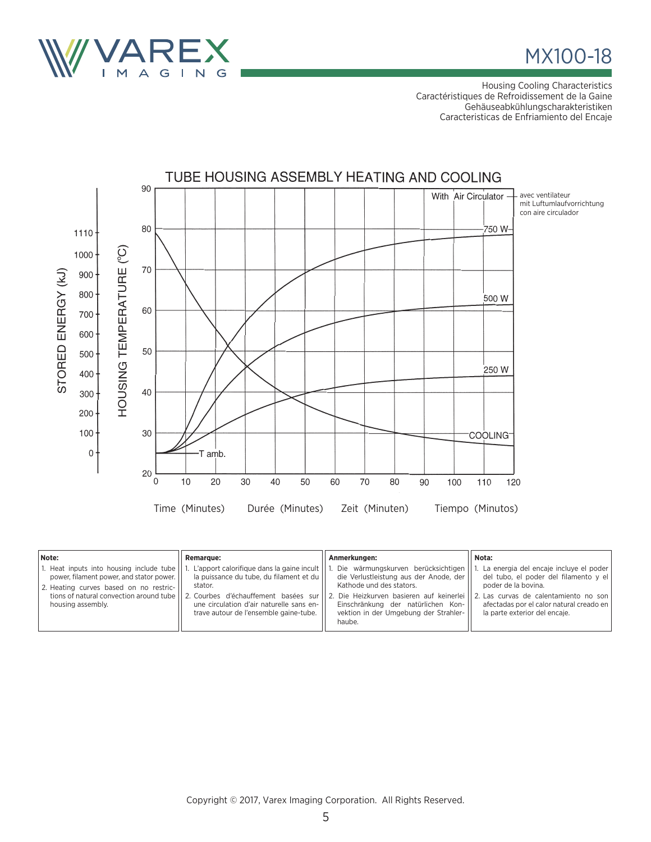

MX100-18

Housing Cooling Characteristics Caractéristiques de Refroidissement de la Gaine Gehäuseabkühlungscharakteristiken Caracteristicas de Enfriamiento del Encaje



| Note:                                                                                                                                                                                            | <b>Remarque:</b>                                                                                                                                                                                                                 | Anmerkungen:                                                                                                                                                                                                                                      | Nota:                                                                                                                                                                                                                        |
|--------------------------------------------------------------------------------------------------------------------------------------------------------------------------------------------------|----------------------------------------------------------------------------------------------------------------------------------------------------------------------------------------------------------------------------------|---------------------------------------------------------------------------------------------------------------------------------------------------------------------------------------------------------------------------------------------------|------------------------------------------------------------------------------------------------------------------------------------------------------------------------------------------------------------------------------|
| 1. Heat inputs into housing include tube<br>power, filament power, and stator power.<br>2. Heating curves based on no restric-<br>tions of natural convection around tube  <br>housing assembly. | L'apport calorifique dans la gaine incult   <br>la puissance du tube, du filament et du<br>stator.<br>2. Courbes d'échauffement basées sur<br>une circulation d'air naturelle sans en-<br>trave autour de l'ensemble gaine-tube. | Die wärmungskurven berücksichtigen<br>die Verlustleistung aus der Anode, der<br>Kathode und des stators.<br>  2. Die Heizkurven basieren auf keinerlei  <br>Einschränkung der natürlichen Kon-<br>vektion in der Umgebung der Strahler-<br>haube. | La energia del encaje incluye el poder<br>del tubo, el poder del filamento y el<br>poder de la bovina.<br>2. Las curvas de calentamiento no son<br>afectadas por el calor natural creado en<br>la parte exterior del encaie. |